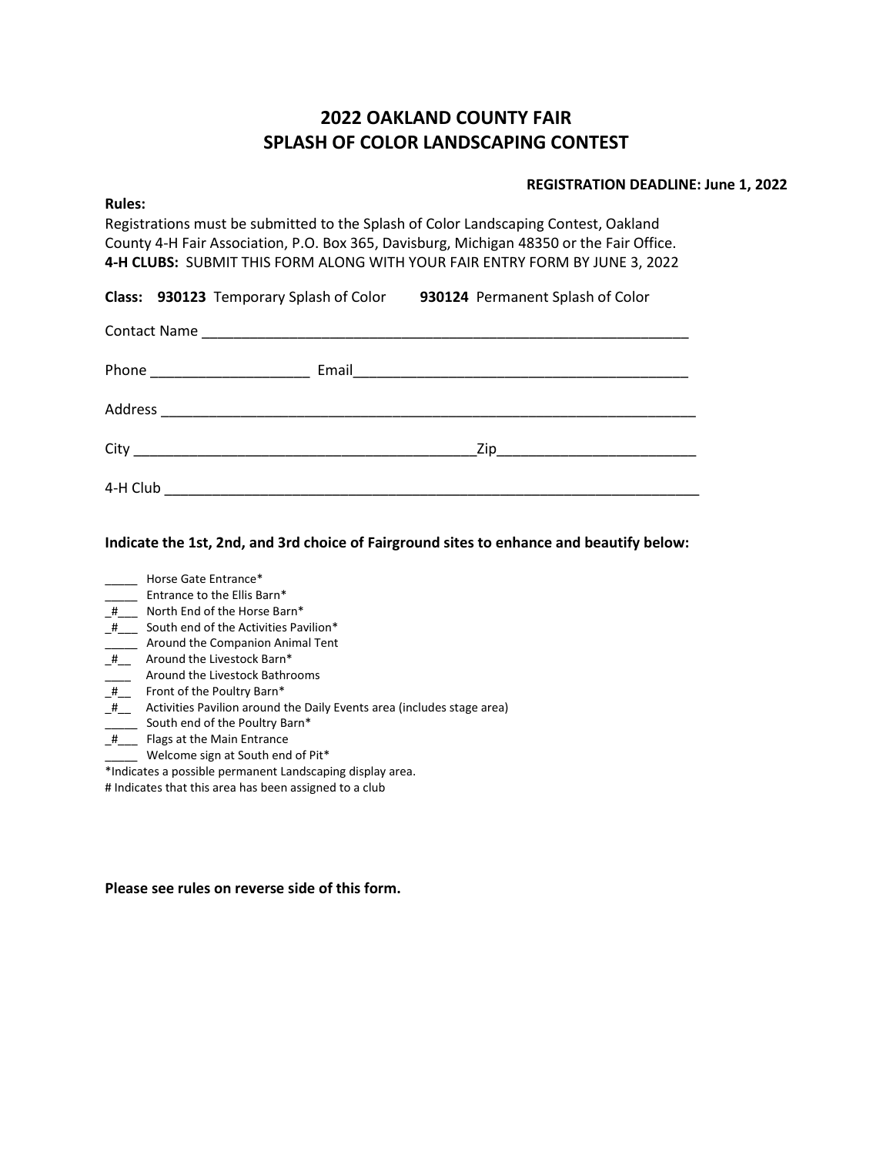# **2022 OAKLAND COUNTY FAIR SPLASH OF COLOR LANDSCAPING CONTEST**

## **REGISTRATION DEADLINE: June 1, 2022**

Registrations must be submitted to the Splash of Color Landscaping Contest, Oakland County 4-H Fair Association, P.O. Box 365, Davisburg, Michigan 48350 or the Fair Office. **4-H CLUBS:** SUBMIT THIS FORM ALONG WITH YOUR FAIR ENTRY FORM BY JUNE 3, 2022

|  | Class: 930123 Temporary Splash of Color | 930124 Permanent Splash of Color |  |
|--|-----------------------------------------|----------------------------------|--|
|  |                                         |                                  |  |

| 4-H Club |  |  |
|----------|--|--|

**Indicate the 1st, 2nd, and 3rd choice of Fairground sites to enhance and beautify below:**

**Rules:**

- \_\_\_\_\_ Entrance to the Ellis Barn\*
- \_#\_\_\_ North End of the Horse Barn\*
- \_#\_\_\_ South end of the Activities Pavilion\*
- **\_\_\_\_\_** Around the Companion Animal Tent
- \_#\_\_\_ Around the Livestock Barn\*
- **EXECUTE:** Around the Livestock Bathrooms
- $\frac{1}{\sqrt{2\pi}}$  Front of the Poultry Barn\*
- \_#\_\_ Activities Pavilion around the Daily Events area (includes stage area)
- \_\_\_\_\_ South end of the Poultry Barn\*
- \_#\_\_\_ Flags at the Main Entrance
- \_\_\_\_\_ Welcome sign at South end of Pit\*

\*Indicates a possible permanent Landscaping display area.

# Indicates that this area has been assigned to a club

**Please see rules on reverse side of this form.**